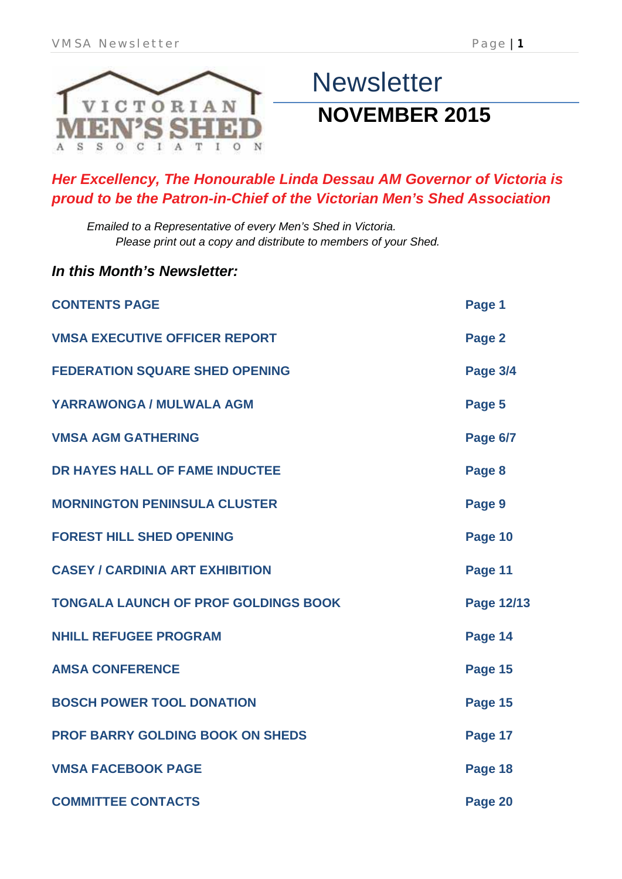

*In this Month's Newsletter:*

# **Newsletter NOVEMBER 2015**

### *Her Excellency, The Honourable Linda Dessau AM Governor of Victoria is proud to be the Patron-in-Chief of the Victorian Men's Shed Association*

*Emailed to a Representative of every Men's Shed in Victoria. Please print out a copy and distribute to members of your Shed.*

| <b>CONTENTS PAGE</b>                        | Page 1          |
|---------------------------------------------|-----------------|
| <b>VMSA EXECUTIVE OFFICER REPORT</b>        | Page 2          |
| <b>FEDERATION SQUARE SHED OPENING</b>       | <b>Page 3/4</b> |
| YARRAWONGA / MULWALA AGM                    | Page 5          |
| <b>VMSA AGM GATHERING</b>                   | <b>Page 6/7</b> |
| DR HAYES HALL OF FAME INDUCTEE              | Page 8          |
| <b>MORNINGTON PENINSULA CLUSTER</b>         | Page 9          |
| <b>FOREST HILL SHED OPENING</b>             | Page 10         |
| <b>CASEY / CARDINIA ART EXHIBITION</b>      | Page 11         |
| <b>TONGALA LAUNCH OF PROF GOLDINGS BOOK</b> | Page 12/13      |
| <b>NHILL REFUGEE PROGRAM</b>                | Page 14         |
| <b>AMSA CONFERENCE</b>                      | Page 15         |
| <b>BOSCH POWER TOOL DONATION</b>            | Page 15         |
| <b>PROF BARRY GOLDING BOOK ON SHEDS</b>     | Page 17         |
| <b>VMSA FACEBOOK PAGE</b>                   | Page 18         |
| <b>COMMITTEE CONTACTS</b>                   | Page 20         |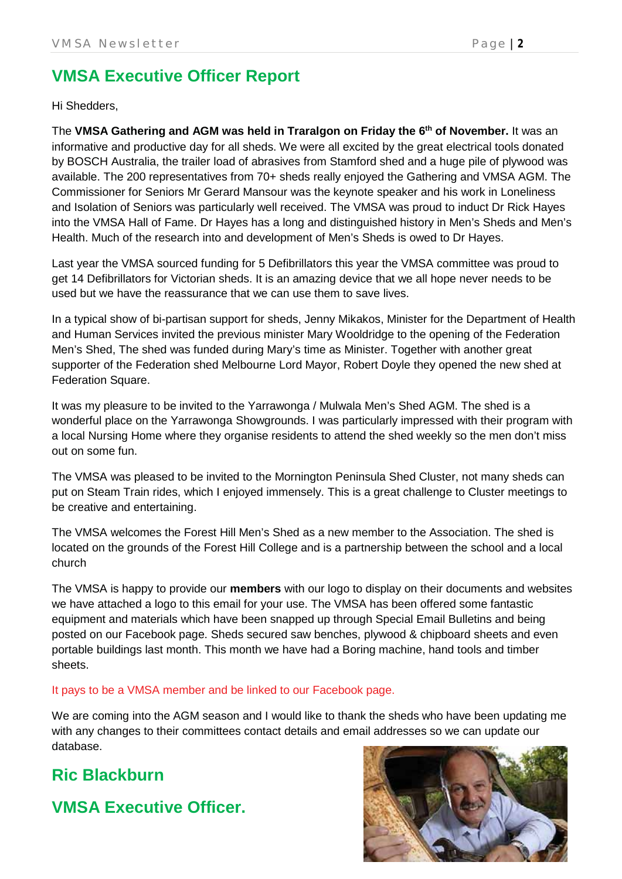### **VMSA Executive Officer Report**

Hi Shedders,

The **VMSA Gathering and AGM was held in Traralgon on Friday the 6th of November.** It was an informative and productive day for all sheds. We were all excited by the great electrical tools donated by BOSCH Australia, the trailer load of abrasives from Stamford shed and a huge pile of plywood was available. The 200 representatives from 70+ sheds really enjoyed the Gathering and VMSA AGM. The Commissioner for Seniors Mr Gerard Mansour was the keynote speaker and his work in Loneliness and Isolation of Seniors was particularly well received. The VMSA was proud to induct Dr Rick Hayes into the VMSA Hall of Fame. Dr Hayes has a long and distinguished history in Men's Sheds and Men's Health. Much of the research into and development of Men's Sheds is owed to Dr Hayes.

Last year the VMSA sourced funding for 5 Defibrillators this year the VMSA committee was proud to get 14 Defibrillators for Victorian sheds. It is an amazing device that we all hope never needs to be used but we have the reassurance that we can use them to save lives.

In a typical show of bi-partisan support for sheds, Jenny Mikakos, Minister for the Department of Health and Human Services invited the previous minister Mary Wooldridge to the opening of the Federation Men's Shed, The shed was funded during Mary's time as Minister. Together with another great supporter of the Federation shed Melbourne Lord Mayor, Robert Doyle they opened the new shed at Federation Square.

It was my pleasure to be invited to the Yarrawonga / Mulwala Men's Shed AGM. The shed is a wonderful place on the Yarrawonga Showgrounds. I was particularly impressed with their program with a local Nursing Home where they organise residents to attend the shed weekly so the men don't miss out on some fun.

The VMSA was pleased to be invited to the Mornington Peninsula Shed Cluster, not many sheds can put on Steam Train rides, which I enjoyed immensely. This is a great challenge to Cluster meetings to be creative and entertaining.

The VMSA welcomes the Forest Hill Men's Shed as a new member to the Association. The shed is located on the grounds of the Forest Hill College and is a partnership between the school and a local church

The VMSA is happy to provide our **members** with our logo to display on their documents and websites we have attached a logo to this email for your use. The VMSA has been offered some fantastic equipment and materials which have been snapped up through Special Email Bulletins and being posted on our Facebook page. Sheds secured saw benches, plywood & chipboard sheets and even portable buildings last month. This month we have had a Boring machine, hand tools and timber sheets.

### It pays to be a VMSA member and be linked to our Facebook page.

We are coming into the AGM season and I would like to thank the sheds who have been updating me with any changes to their committees contact details and email addresses so we can update our database.

### **Ric Blackburn**

**VMSA Executive Officer.**

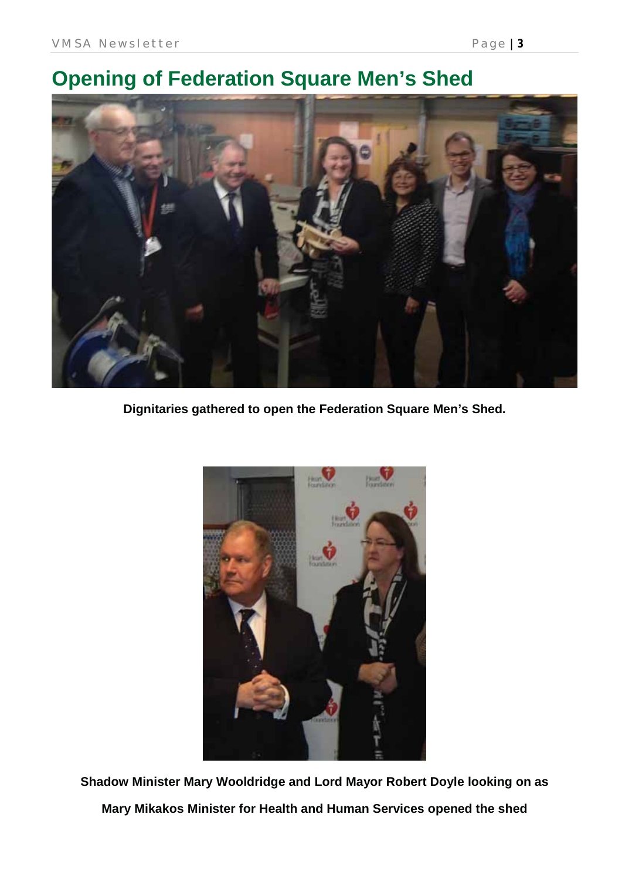

**Dignitaries gathered to open the Federation Square Men's Shed.**



**Shadow Minister Mary Wooldridge and Lord Mayor Robert Doyle looking on as Mary Mikakos Minister for Health and Human Services opened the shed**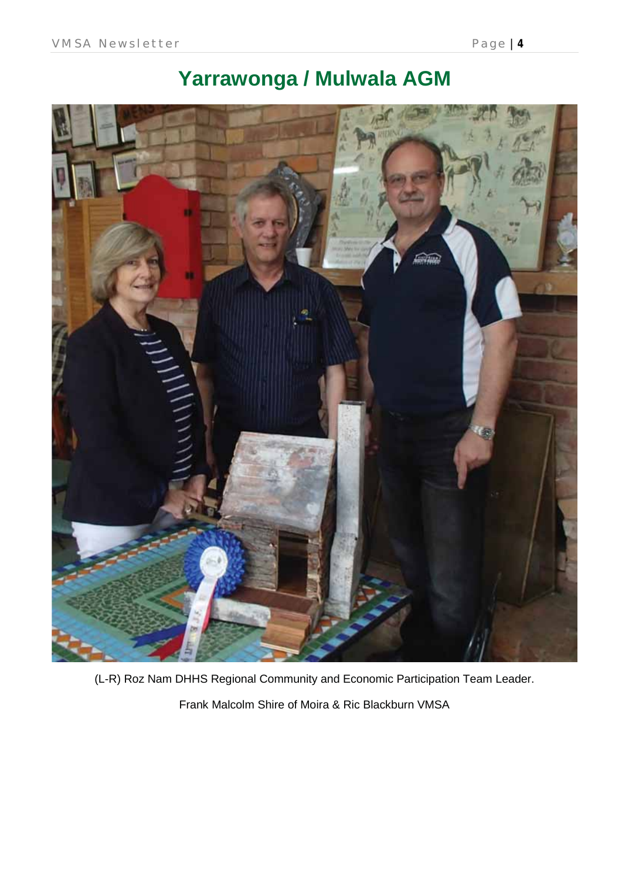



(L-R) Roz Nam DHHS Regional Community and Economic Participation Team Leader.

Frank Malcolm Shire of Moira & Ric Blackburn VMSA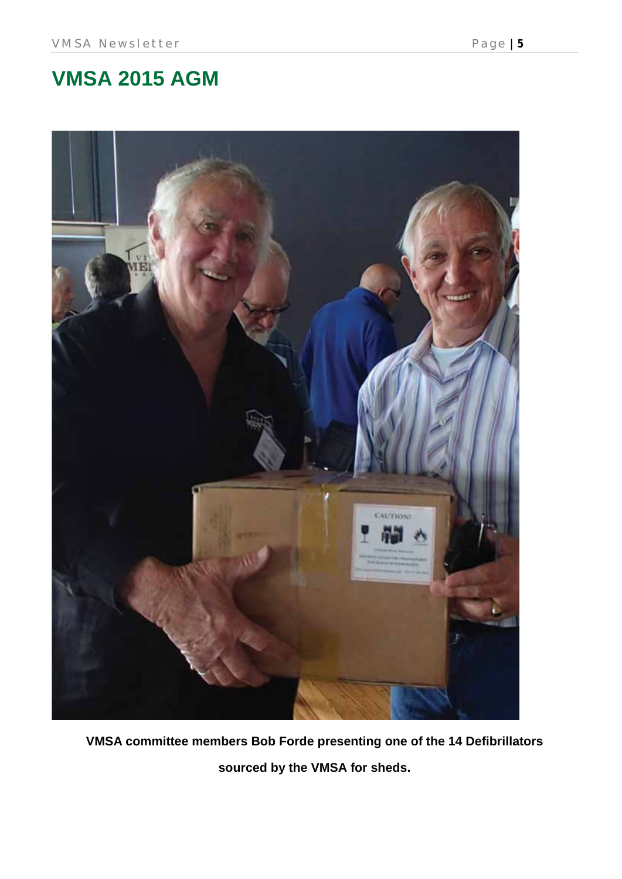

**VMSA committee members Bob Forde presenting one of the 14 Defibrillators sourced by the VMSA for sheds.**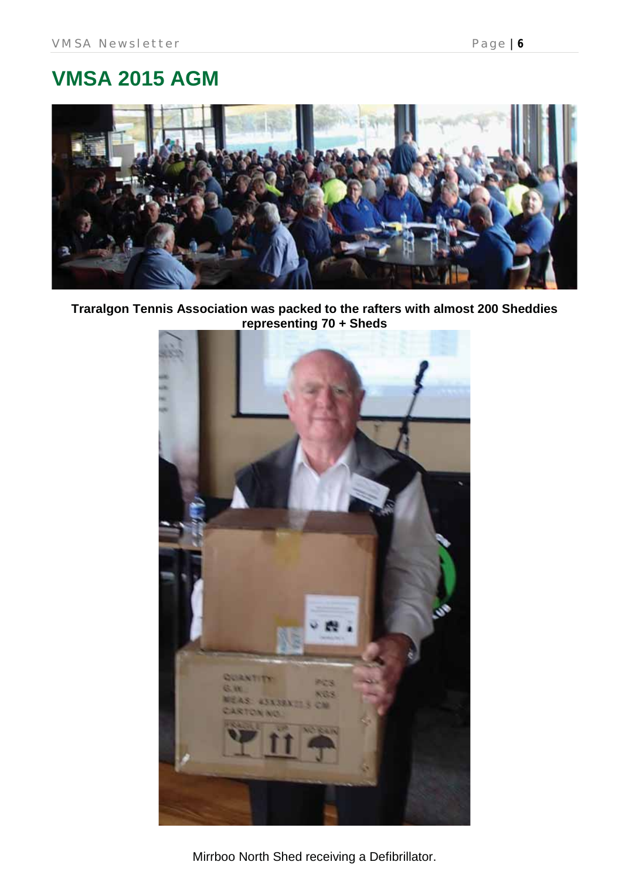# **VMSA 2015 AGM**



**Traralgon Tennis Association was packed to the rafters with almost 200 Sheddies representing 70 + Sheds**



Mirrboo North Shed receiving a Defibrillator.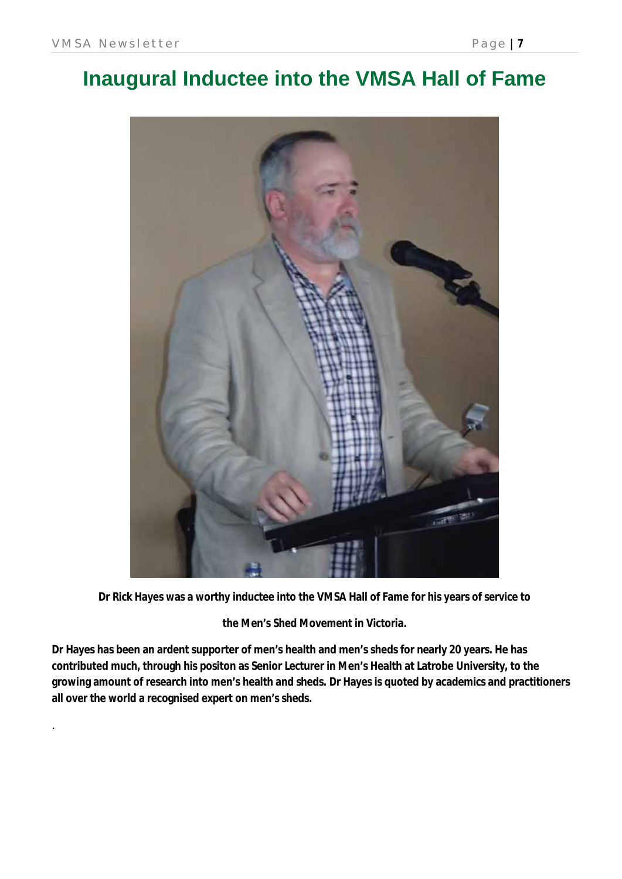.

# **Inaugural Inductee into the VMSA Hall of Fame**



**Dr Rick Hayes was a worthy inductee into the VMSA Hall of Fame for his years of service to** 

**the Men's Shed Movement in Victoria.** 

**Dr Hayes has been an ardent supporter of men's health and men's sheds for nearly 20 years. He has contributed much, through his positon as Senior Lecturer in Men's Health at Latrobe University, to the growing amount of research into men's health and sheds. Dr Hayes is quoted by academics and practitioners all over the world a recognised expert on men's sheds.**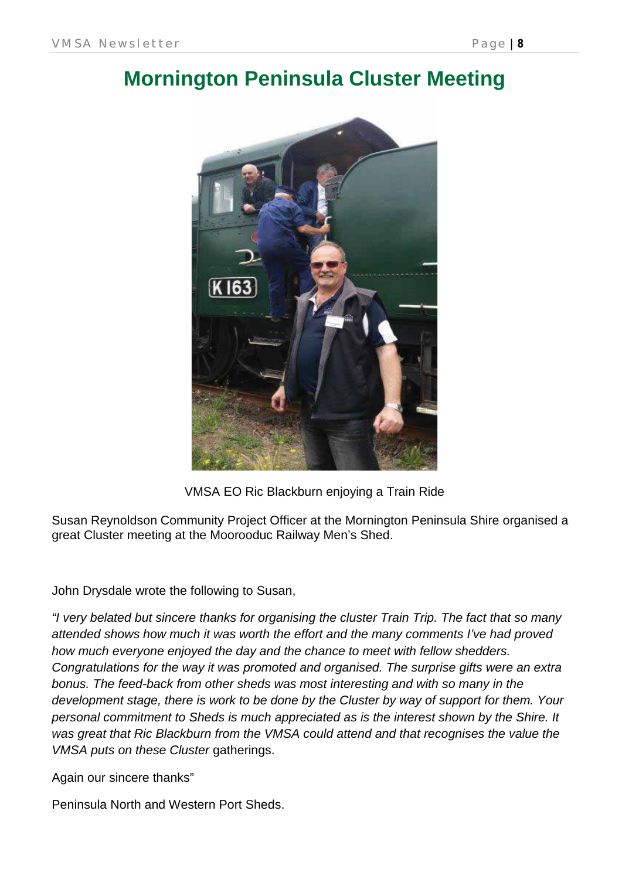### **Mornington Peninsula Cluster Meeting**



VMSA EO Ric Blackburn enjoying a Train Ride

Susan Reynoldson Community Project Officer at the Mornington Peninsula Shire organised a great Cluster meeting at the Moorooduc Railway Men's Shed.

John Drysdale wrote the following to Susan,

*"I very belated but sincere thanks for organising the cluster Train Trip. The fact that so many attended shows how much it was worth the effort and the many comments I've had proved how much everyone enjoyed the day and the chance to meet with fellow shedders. Congratulations for the way it was promoted and organised. The surprise gifts were an extra bonus. The feed-back from other sheds was most interesting and with so many in the development stage, there is work to be done by the Cluster by way of support for them. Your personal commitment to Sheds is much appreciated as is the interest shown by the Shire. It was great that Ric Blackburn from the VMSA could attend and that recognises the value the VMSA puts on these Cluster* gatherings.

Again our sincere thanks"

Peninsula North and Western Port Sheds.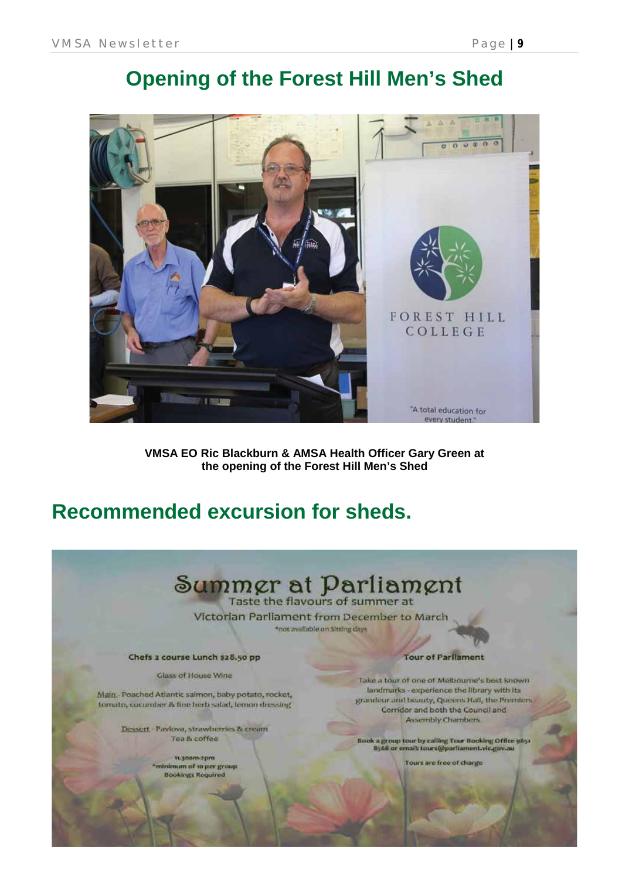### **Opening of the Forest Hill Men's Shed**



**VMSA EO Ric Blackburn & AMSA Health Officer Gary Green at the opening of the Forest Hill Men's Shed**

### **Recommended excursion for sheds.**

# Summgr at Parliament

Victorian Parliament from December to March \*not available on Sitting days

Chefs 2 course Lunch \$28.50 pp

Glass of House Wine

Main. Poached Atlantic salmon, baby potato, rocket, tomato, cucumber & fine herb salad, lemon dressing

> Dessert - Pavlova, strawberries & cream Tea & coffee

> > 11.30am-2pm "minimum of to per group **Bookings Required**

**Tour of Parliament** 

Take a tour of one of Melbourne's best known landmarks - experience the library with its grandeur and beauty, Queens Hall, the Premic Corridor and both the Council and **Assembly Chambers** 

Book a group tour by calling Tour Booking Office 9651<br>B568 or email: tours@parliament.vic.gov.au

Tours are free of charge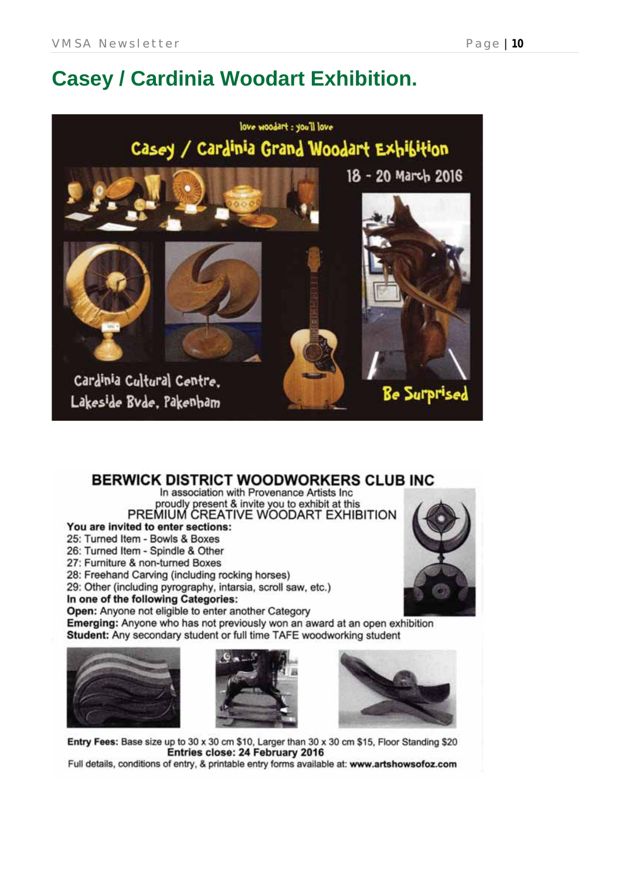# **Casey / Cardinia Woodart Exhibition.**



### **BERWICK DISTRICT WOODWORKERS CLUB INC**

In association with Provenance Artists Inc. proudly present & invite you to exhibit at this<br>PREMIUM CREATIVE WOODART EXHIBITION

You are invited to enter sections:

25: Turned Item - Bowls & Boxes

26: Turned Item - Spindle & Other

27: Furniture & non-turned Boxes

28: Freehand Carving (including rocking horses)

29: Other (including pyrography, intarsia, scroll saw, etc.)

In one of the following Categories:

Open: Anyone not eligible to enter another Category

Emerging: Anyone who has not previously won an award at an open exhibition Student: Any secondary student or full time TAFE woodworking student







Entry Fees: Base size up to 30 x 30 cm \$10, Larger than 30 x 30 cm \$15, Floor Standing \$20 Entries close: 24 February 2016

Full details, conditions of entry, & printable entry forms available at: www.artshowsofoz.com



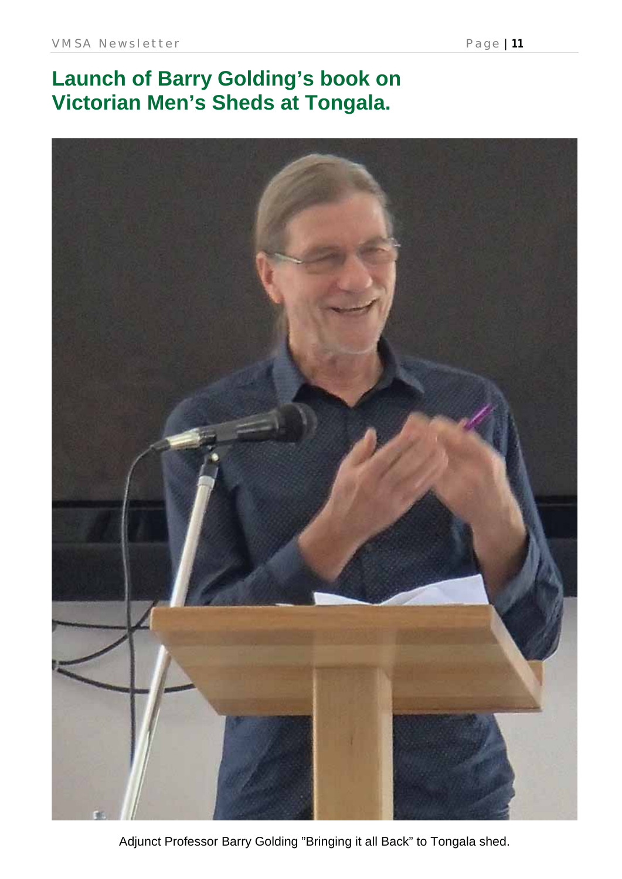# **Launch of Barry Golding's book on Victorian Men's Sheds at Tongala.**



Adjunct Professor Barry Golding "Bringing it all Back" to Tongala shed.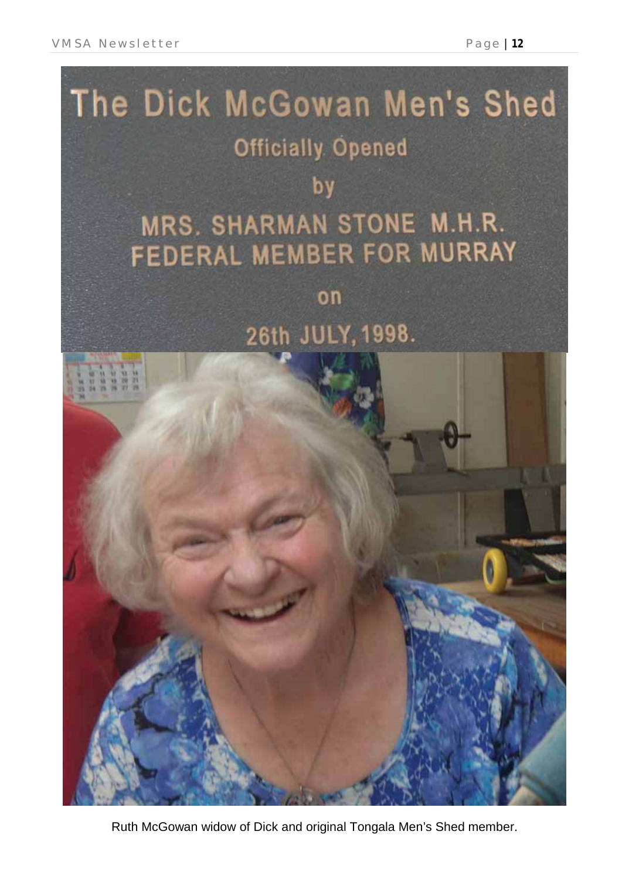

Ruth McGowan widow of Dick and original Tongala Men's Shed member.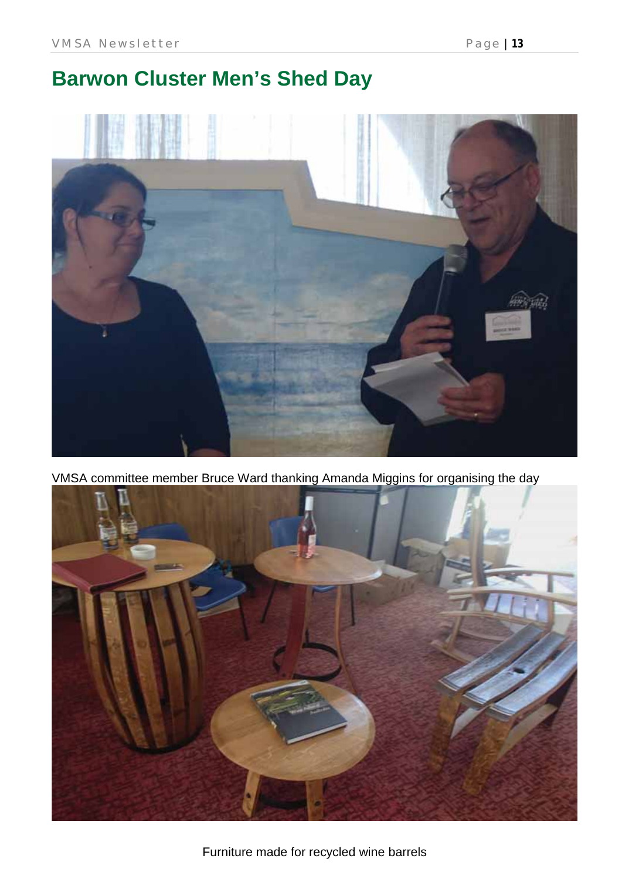# **Barwon Cluster Men's Shed Day**



VMSA committee member Bruce Ward thanking Amanda Miggins for organising the day

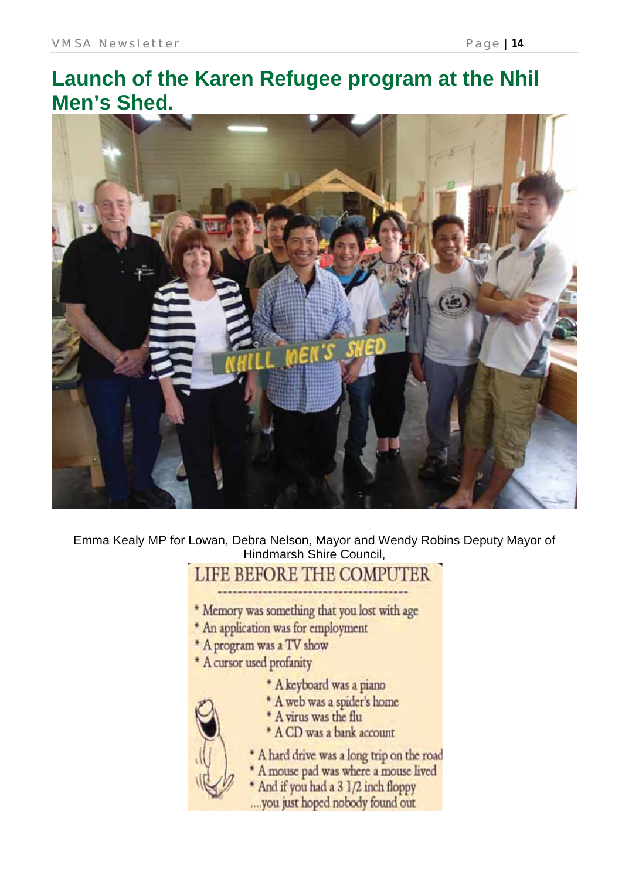# **Launch of the Karen Refugee program at the Nhil Men's Shed.**



Emma Kealy MP for Lowan, Debra Nelson, Mayor and Wendy Robins Deputy Mayor of Hindmarsh Shire Council,

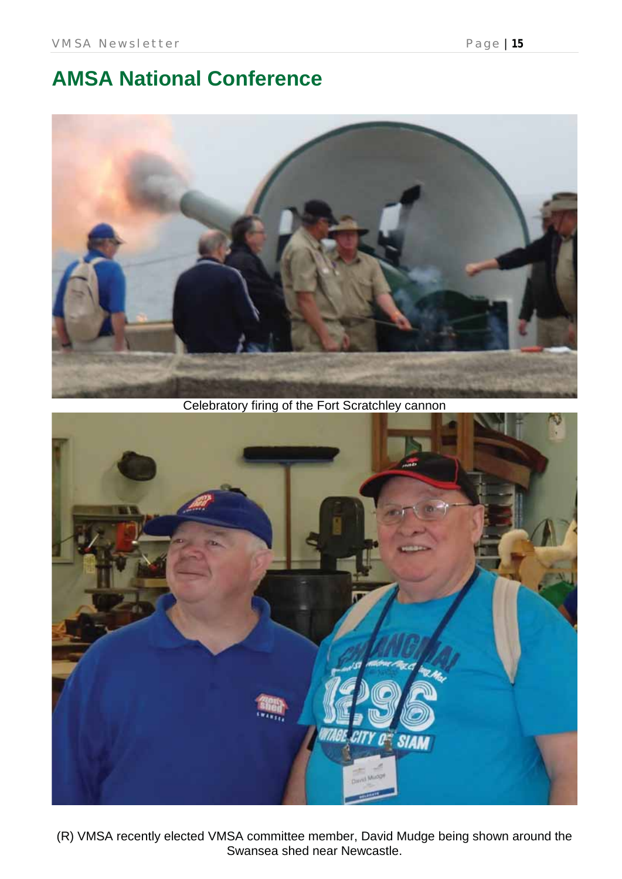## **AMSA National Conference**



Celebratory firing of the Fort Scratchley cannon



(R) VMSA recently elected VMSA committee member, David Mudge being shown around the Swansea shed near Newcastle.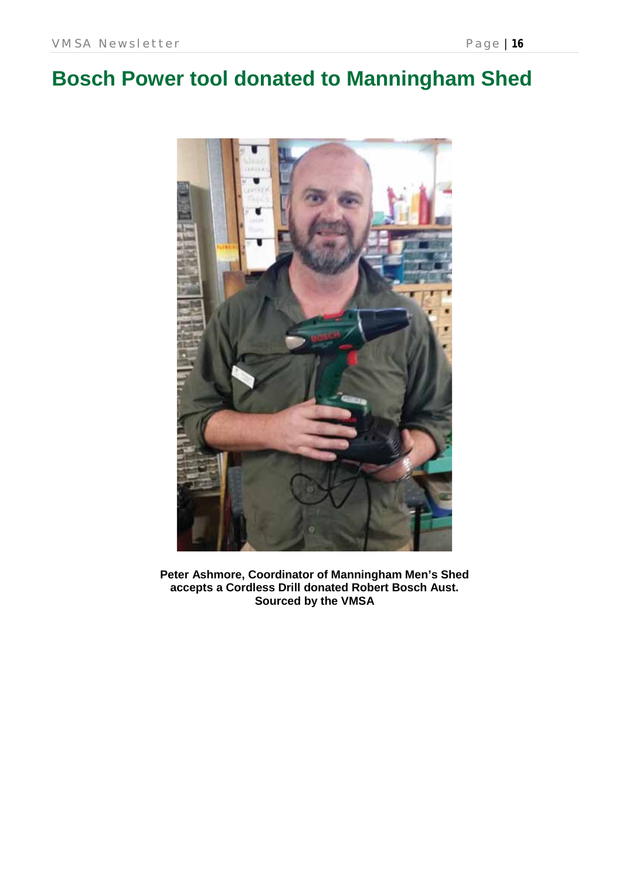# **Bosch Power tool donated to Manningham Shed**



**Peter Ashmore, Coordinator of Manningham Men's Shed accepts a Cordless Drill donated Robert Bosch Aust. Sourced by the VMSA**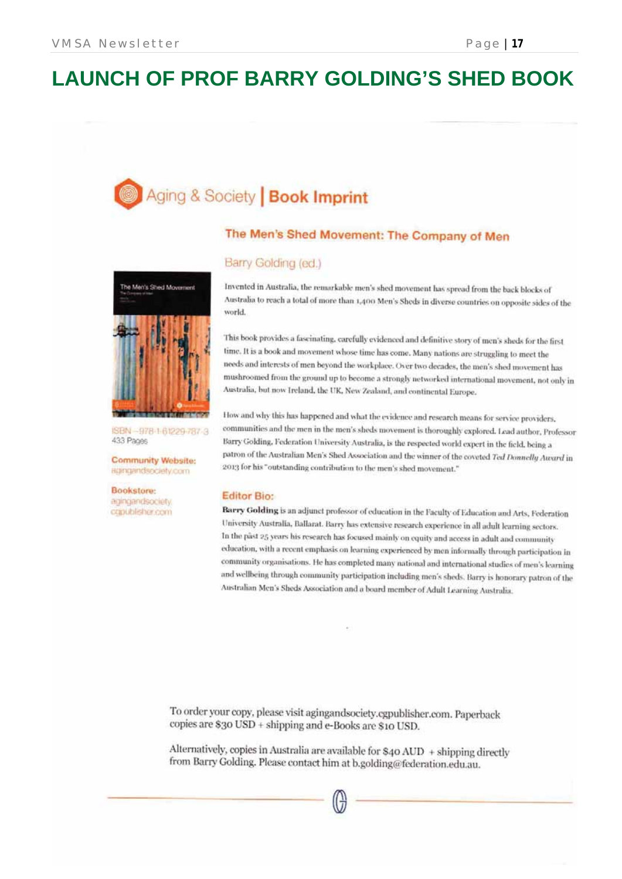# **LAUNCH OF PROF BARRY GOLDING'S SHED BOOK**

# Aging & Society | Book Imprint

### The Men's Shed Movement: The Company of Men

# The Men's Shed Movement

ISBN -978-1-61229-787-3 433 Pages

**Community Website:** agingandsociety.com

Bookstore: agingandsociety. capublisher.com

### Barry Golding (ed.)

Invented in Australia, the remarkable men's shed movement has spread from the back blocks of Australia to reach a total of more than 1,400 Men's Sheds in diverse countries on opposite sides of the world

This book provides a fascinating, carefully evidenced and definitive story of men's sheds for the first time. It is a book and movement whose time has come. Many nations are struggling to meet the needs and interests of men beyond the workplace. Over two decades, the men's shed movement has mushroomed from the ground up to become a strongly networked international movement, not only in Australia, but now Ireland, the UK, New Zealand, and continental Europe.

How and why this has happened and what the evidence and research means for service providers. communities and the men in the men's sheds movement is thoroughly explored. Lead author, Professor Barry Golding, Federation University Australia, is the respected world expert in the field, being a patron of the Australian Men's Shed Association and the winner of the coveted Ted Donnelly Award in 2013 for his "outstanding contribution to the men's shed movement."

### **Editor Bio:**

Barry Golding is an adjunct professor of education in the Faculty of Education and Arts, Federation University Australia, Ballarat. Barry has extensive research experience in all adult learning sectors. In the past 25 years his research has focused mainly on equity and access in adult and community education, with a recent emphasis on learning experienced by men informally through participation in community organisations. He has completed many national and international studies of men's learning and wellbeing through community participation including men's sheds. Barry is honorary patron of the Australian Men's Sheds Association and a board member of Adult Learning Australia.

To order your copy, please visit agingandsociety.cgpublisher.com. Paperback copies are \$30 USD + shipping and e-Books are \$10 USD.

Alternatively, copies in Australia are available for \$40 AUD + shipping directly from Barry Golding. Please contact him at b.golding@federation.edu.au.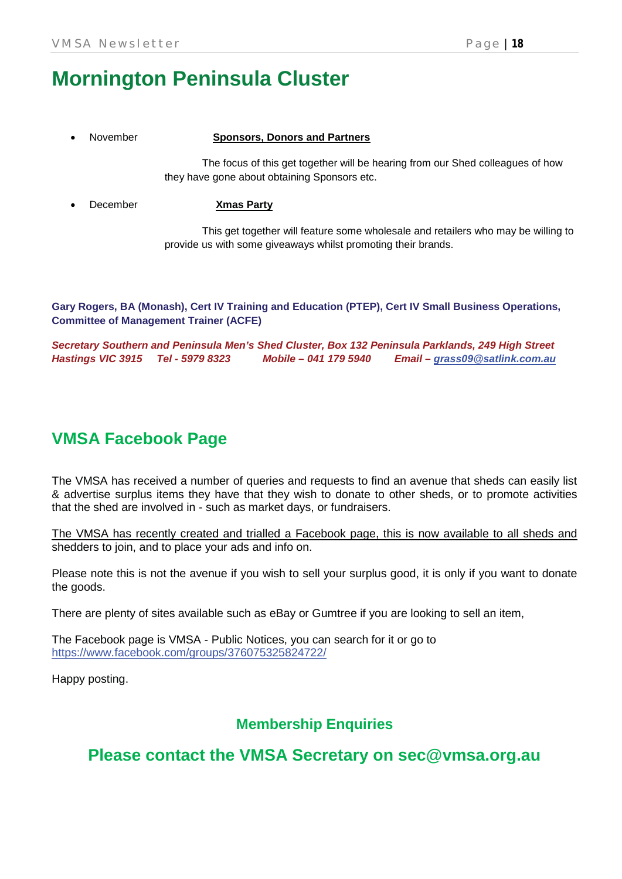# **Mornington Peninsula Cluster**

### x November **Sponsors, Donors and Partners**

The focus of this get together will be hearing from our Shed colleagues of how they have gone about obtaining Sponsors etc.

x December **Xmas Party**

This get together will feature some wholesale and retailers who may be willing to provide us with some giveaways whilst promoting their brands.

**Gary Rogers, BA (Monash), Cert IV Training and Education (PTEP), Cert IV Small Business Operations, Committee of Management Trainer (ACFE)**

*Secretary Southern and Peninsula Men's Shed Cluster, Box 132 Peninsula Parklands, 249 High Street Hastings VIC 3915 Tel - 5979 8323 Mobile – 041 179 5940 Email – grass09@satlink.com.au*

### **VMSA Facebook Page**

The VMSA has received a number of queries and requests to find an avenue that sheds can easily list & advertise surplus items they have that they wish to donate to other sheds, or to promote activities that the shed are involved in - such as market days, or fundraisers.

The VMSA has recently created and trialled a Facebook page, this is now available to all sheds and shedders to join, and to place your ads and info on.

Please note this is not the avenue if you wish to sell your surplus good, it is only if you want to donate the goods.

There are plenty of sites available such as eBay or Gumtree if you are looking to sell an item,

The Facebook page is VMSA - Public Notices, you can search for it or go to https://www.facebook.com/groups/376075325824722/

Happy posting.

### **Membership Enquiries**

**Please contact the VMSA Secretary on sec@vmsa.org.au**